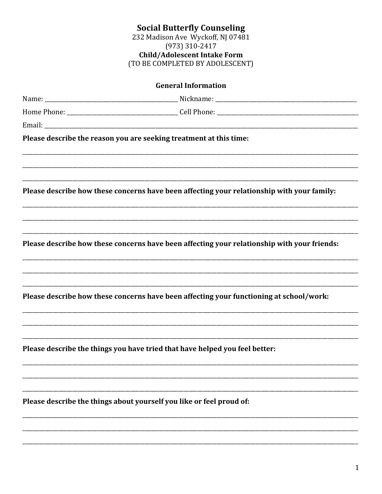## **Social Butterfly Counseling**<br>232 Madison Ave Wyckoff, NJ 07481  $(973) 310 - 2417$ Child/Adolescent Intake Form<br>(TO BE COMPLETED BY ADOLESCENT)

| Please describe the reason you are seeking treatment at this time:                          |
|---------------------------------------------------------------------------------------------|
| Please describe how these concerns have been affecting your relationship with your family:  |
| Please describe how these concerns have been affecting your relationship with your friends: |
| Please describe how these concerns have been affecting your functioning at school/work:     |
| Please describe the things you have tried that have helped you feel better:                 |
| Please describe the things about yourself you like or feel proud of:                        |
|                                                                                             |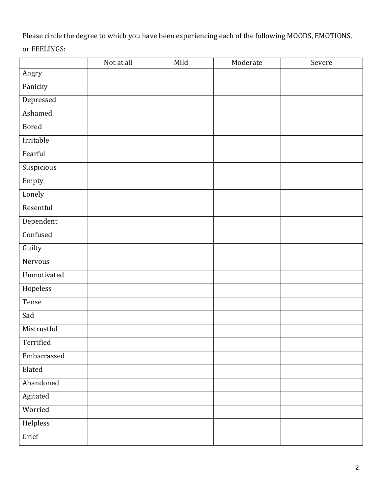Please circle the degree to which you have been experiencing each of the following MOODS, EMOTIONS, or FEELINGS:

|              | Not at all | Mild | Moderate | Severe |
|--------------|------------|------|----------|--------|
| Angry        |            |      |          |        |
| Panicky      |            |      |          |        |
| Depressed    |            |      |          |        |
| Ashamed      |            |      |          |        |
| <b>Bored</b> |            |      |          |        |
| Irritable    |            |      |          |        |
| Fearful      |            |      |          |        |
| Suspicious   |            |      |          |        |
| Empty        |            |      |          |        |
| Lonely       |            |      |          |        |
| Resentful    |            |      |          |        |
| Dependent    |            |      |          |        |
| Confused     |            |      |          |        |
| Guilty       |            |      |          |        |
| Nervous      |            |      |          |        |
| Unmotivated  |            |      |          |        |
| Hopeless     |            |      |          |        |
| Tense        |            |      |          |        |
| Sad          |            |      |          |        |
| Mistrustful  |            |      |          |        |
| Terrified    |            |      |          |        |
| Embarrassed  |            |      |          |        |
| Elated       |            |      |          |        |
| Abandoned    |            |      |          |        |
| Agitated     |            |      |          |        |
| Worried      |            |      |          |        |
| Helpless     |            |      |          |        |
| Grief        |            |      |          |        |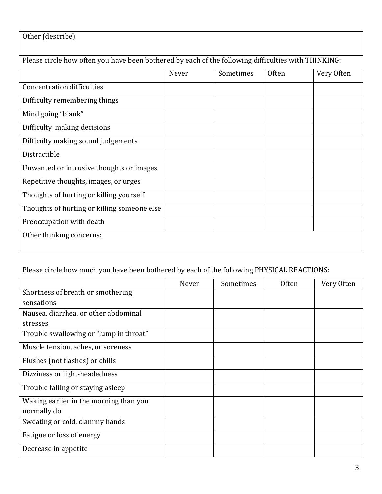## Other (describe)

## Please circle how often you have been bothered by each of the following difficulties with THINKING:

|                                             | Never | Sometimes | <b>Often</b> | Very Often |
|---------------------------------------------|-------|-----------|--------------|------------|
| <b>Concentration difficulties</b>           |       |           |              |            |
| Difficulty remembering things               |       |           |              |            |
| Mind going "blank"                          |       |           |              |            |
| Difficulty making decisions                 |       |           |              |            |
| Difficulty making sound judgements          |       |           |              |            |
| Distractible                                |       |           |              |            |
| Unwanted or intrusive thoughts or images    |       |           |              |            |
| Repetitive thoughts, images, or urges       |       |           |              |            |
| Thoughts of hurting or killing yourself     |       |           |              |            |
| Thoughts of hurting or killing someone else |       |           |              |            |
| Preoccupation with death                    |       |           |              |            |
| Other thinking concerns:                    |       |           |              |            |

Please circle how much you have been bothered by each of the following PHYSICAL REACTIONS:

|                                        | Never | Sometimes | <b>Often</b> | Very Often |
|----------------------------------------|-------|-----------|--------------|------------|
| Shortness of breath or smothering      |       |           |              |            |
| sensations                             |       |           |              |            |
| Nausea, diarrhea, or other abdominal   |       |           |              |            |
| stresses                               |       |           |              |            |
| Trouble swallowing or "lump in throat" |       |           |              |            |
| Muscle tension, aches, or soreness     |       |           |              |            |
| Flushes (not flashes) or chills        |       |           |              |            |
| Dizziness or light-headedness          |       |           |              |            |
| Trouble falling or staying asleep      |       |           |              |            |
| Waking earlier in the morning than you |       |           |              |            |
| normally do                            |       |           |              |            |
| Sweating or cold, clammy hands         |       |           |              |            |
| Fatigue or loss of energy              |       |           |              |            |
| Decrease in appetite                   |       |           |              |            |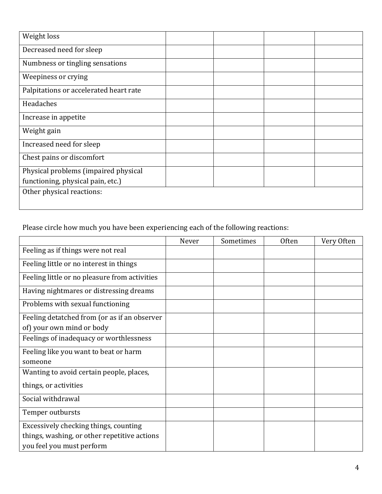| Weight loss                            |  |  |
|----------------------------------------|--|--|
| Decreased need for sleep               |  |  |
| Numbness or tingling sensations        |  |  |
| Weepiness or crying                    |  |  |
| Palpitations or accelerated heart rate |  |  |
| Headaches                              |  |  |
| Increase in appetite                   |  |  |
| Weight gain                            |  |  |
| Increased need for sleep               |  |  |
| Chest pains or discomfort              |  |  |
| Physical problems (impaired physical   |  |  |
| functioning, physical pain, etc.)      |  |  |
| Other physical reactions:              |  |  |
|                                        |  |  |

Please circle how much you have been experiencing each of the following reactions:

|                                               | Never | Sometimes | <b>Often</b> | Very Often |
|-----------------------------------------------|-------|-----------|--------------|------------|
| Feeling as if things were not real            |       |           |              |            |
| Feeling little or no interest in things       |       |           |              |            |
| Feeling little or no pleasure from activities |       |           |              |            |
| Having nightmares or distressing dreams       |       |           |              |            |
| Problems with sexual functioning              |       |           |              |            |
| Feeling detatched from (or as if an observer  |       |           |              |            |
| of) your own mind or body                     |       |           |              |            |
| Feelings of inadequacy or worthlessness       |       |           |              |            |
| Feeling like you want to beat or harm         |       |           |              |            |
| someone                                       |       |           |              |            |
| Wanting to avoid certain people, places,      |       |           |              |            |
| things, or activities                         |       |           |              |            |
| Social withdrawal                             |       |           |              |            |
| Temper outbursts                              |       |           |              |            |
| Excessively checking things, counting         |       |           |              |            |
| things, washing, or other repetitive actions  |       |           |              |            |
| you feel you must perform                     |       |           |              |            |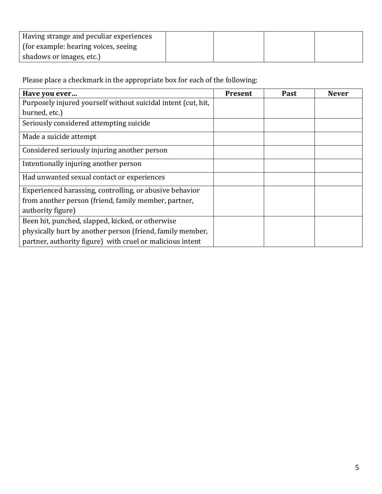| Having strange and peculiar experiences |  |  |
|-----------------------------------------|--|--|
| (for example: hearing voices, seeing)   |  |  |
| shadows or images, etc.)                |  |  |

Please place a checkmark in the appropriate box for each of the following:

| Have you ever                                                 | <b>Present</b> | Past | <b>Never</b> |
|---------------------------------------------------------------|----------------|------|--------------|
| Purposely injured yourself without suicidal intent (cut, hit, |                |      |              |
| burned, etc.)                                                 |                |      |              |
| Seriously considered attempting suicide                       |                |      |              |
| Made a suicide attempt                                        |                |      |              |
| Considered seriously injuring another person                  |                |      |              |
| Intentionally injuring another person                         |                |      |              |
| Had unwanted sexual contact or experiences                    |                |      |              |
| Experienced harassing, controlling, or abusive behavior       |                |      |              |
| from another person (friend, family member, partner,          |                |      |              |
| authority figure)                                             |                |      |              |
| Been hit, punched, slapped, kicked, or otherwise              |                |      |              |
| physically hurt by another person (friend, family member,     |                |      |              |
| partner, authority figure) with cruel or malicious intent     |                |      |              |